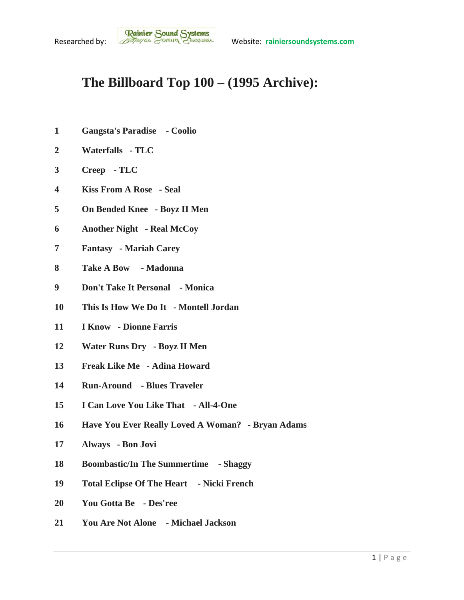## **The Billboard Top 100 – (1995 Archive):**

- **Gangsta's Paradise - Coolio**
- **Waterfalls - TLC**
- **Creep - TLC**
- **Kiss From A Rose - Seal**
- **On Bended Knee - Boyz II Men**
- **Another Night - Real McCoy**
- **Fantasy - Mariah Carey**
- **Take A Bow - Madonna**
- **Don't Take It Personal - Monica**
- **This Is How We Do It - Montell Jordan**
- **I Know - Dionne Farris**
- **Water Runs Dry - Boyz II Men**
- **Freak Like Me - Adina Howard**
- **Run-Around - Blues Traveler**
- **I Can Love You Like That - All-4-One**
- **Have You Ever Really Loved A Woman? - Bryan Adams**
- **Always - Bon Jovi**
- **Boombastic/In The Summertime - Shaggy**
- **Total Eclipse Of The Heart - Nicki French**
- **You Gotta Be - Des'ree**
- **You Are Not Alone - Michael Jackson**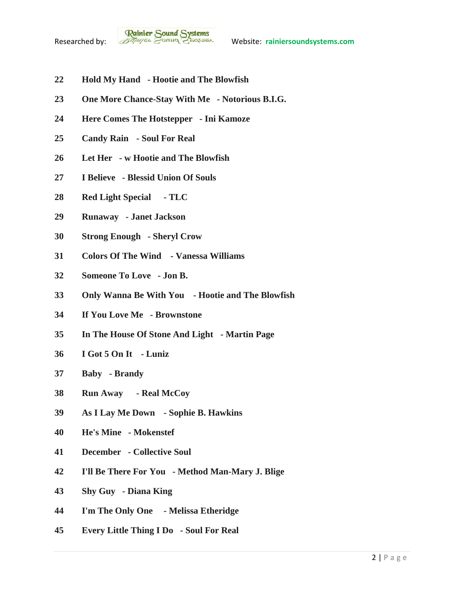

- **Hold My Hand - Hootie and The Blowfish**
- **One More Chance-Stay With Me - Notorious B.I.G.**
- **Here Comes The Hotstepper - Ini Kamoze**
- **Candy Rain - Soul For Real**
- **Let Her - w Hootie and The Blowfish**
- **I Believe - Blessid Union Of Souls**
- **Red Light Special - TLC**
- **Runaway - Janet Jackson**
- **Strong Enough - Sheryl Crow**
- **Colors Of The Wind - Vanessa Williams**
- **Someone To Love - Jon B.**
- **Only Wanna Be With You - Hootie and The Blowfish**
- **If You Love Me - Brownstone**
- **In The House Of Stone And Light - Martin Page**
- **I Got 5 On It - Luniz**
- **Baby - Brandy**
- **Run Away - Real McCoy**
- **As I Lay Me Down - Sophie B. Hawkins**
- **He's Mine - Mokenstef**
- **December - Collective Soul**
- **I'll Be There For You - Method Man-Mary J. Blige**
- **Shy Guy - Diana King**
- **I'm The Only One - Melissa Etheridge**
- **Every Little Thing I Do - Soul For Real**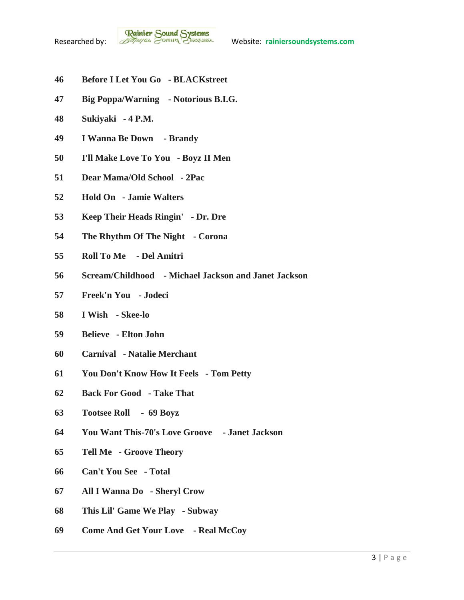- **Before I Let You Go - BLACKstreet**
- **Big Poppa/Warning - Notorious B.I.G.**
- **Sukiyaki - 4 P.M.**
- **I Wanna Be Down - Brandy**
- **I'll Make Love To You - Boyz II Men**
- **Dear Mama/Old School - 2Pac**
- **Hold On - Jamie Walters**
- **Keep Their Heads Ringin' - Dr. Dre**
- **The Rhythm Of The Night - Corona**
- **Roll To Me - Del Amitri**
- **Scream/Childhood - Michael Jackson and Janet Jackson**
- **Freek'n You - Jodeci**
- **I Wish - Skee-lo**
- **Believe - Elton John**
- **Carnival - Natalie Merchant**
- **You Don't Know How It Feels - Tom Petty**
- **Back For Good - Take That**
- **Tootsee Roll - 69 Boyz**
- **You Want This-70's Love Groove - Janet Jackson**
- **Tell Me - Groove Theory**
- **Can't You See - Total**
- **All I Wanna Do - Sheryl Crow**
- **This Lil' Game We Play - Subway**
- **Come And Get Your Love - Real McCoy**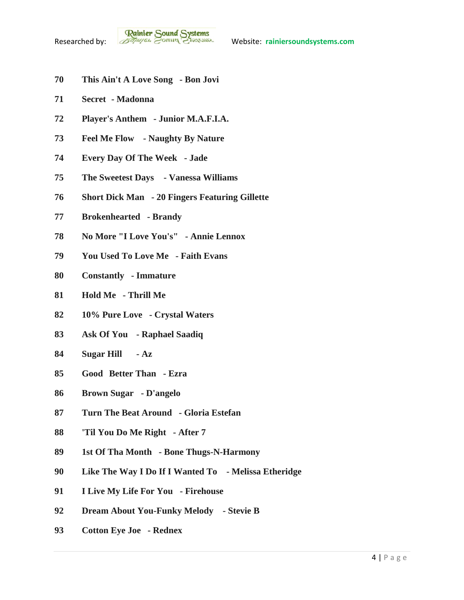- **This Ain't A Love Song - Bon Jovi**
- **Secret - Madonna**
- **Player's Anthem - Junior M.A.F.I.A.**
- **Feel Me Flow - Naughty By Nature**
- **Every Day Of The Week - Jade**
- **The Sweetest Days - Vanessa Williams**
- **Short Dick Man - 20 Fingers Featuring Gillette**
- **Brokenhearted - Brandy**
- **No More "I Love You's" - Annie Lennox**
- **You Used To Love Me - Faith Evans**
- **Constantly - Immature**
- **Hold Me - Thrill Me**
- **10% Pure Love - Crystal Waters**
- **Ask Of You - Raphael Saadiq**
- **Sugar Hill - Az**
- **Good Better Than - Ezra**
- **Brown Sugar - D'angelo**
- **Turn The Beat Around - Gloria Estefan**
- **'Til You Do Me Right - After 7**
- **1st Of Tha Month - Bone Thugs-N-Harmony**
- **Like The Way I Do If I Wanted To - Melissa Etheridge**
- **I Live My Life For You - Firehouse**
- **Dream About You-Funky Melody - Stevie B**
- **Cotton Eye Joe - Rednex**